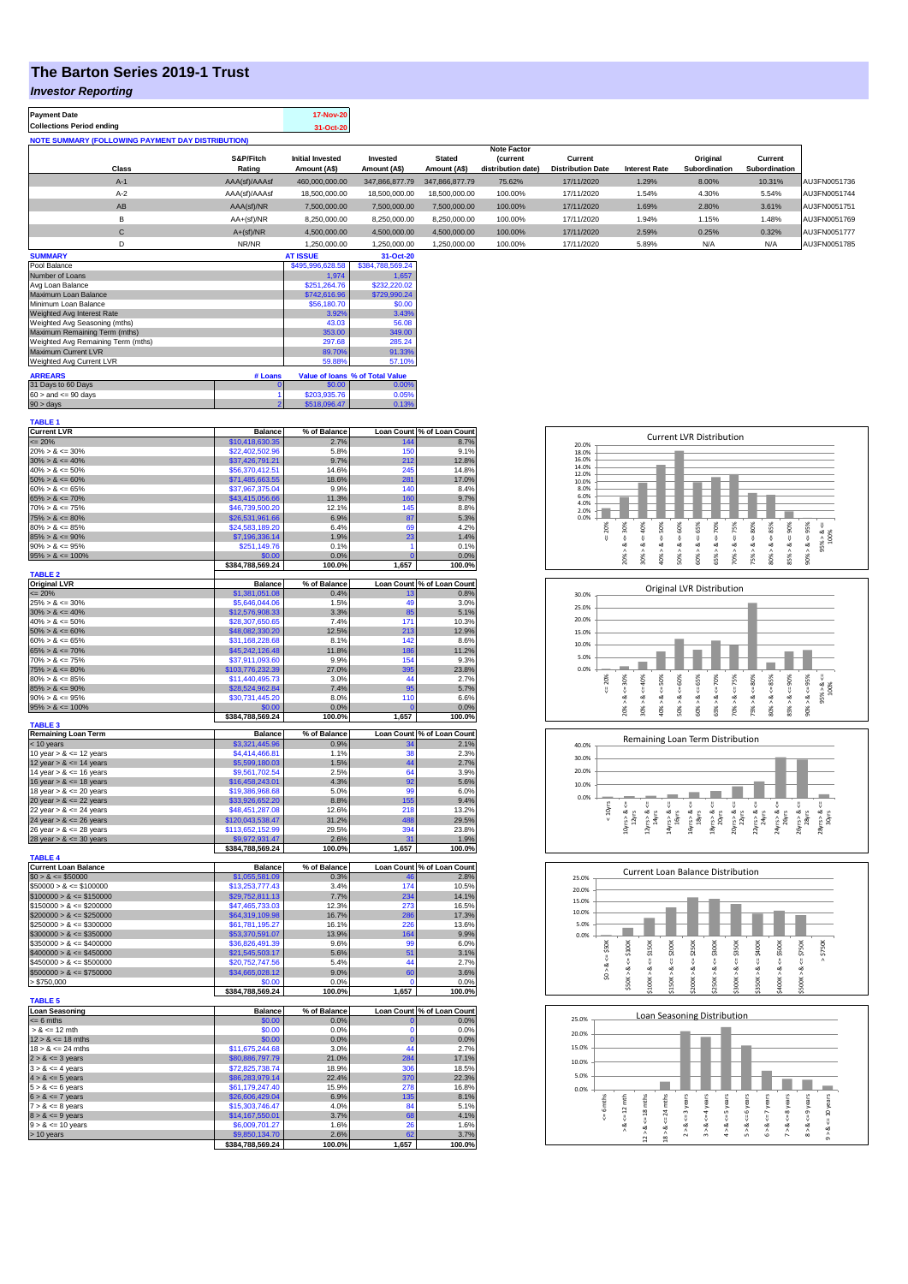## **The Barton Series 2019-1 Trust**

## *Investor Reporting*

| <b>Payment Date</b><br><b>Collections Period ending</b>  |                     | <b>17-Nov-20</b><br>31-Oct-20    |                          |                               |                                      |                                     |                      |                           |                          |              |
|----------------------------------------------------------|---------------------|----------------------------------|--------------------------|-------------------------------|--------------------------------------|-------------------------------------|----------------------|---------------------------|--------------------------|--------------|
| <b>NOTE SUMMARY (FOLLOWING PAYMENT DAY DISTRIBUTION)</b> |                     |                                  |                          |                               |                                      |                                     |                      |                           |                          |              |
|                                                          |                     |                                  |                          |                               | <b>Note Factor</b>                   |                                     |                      |                           |                          |              |
| Class                                                    | S&P/Fitch<br>Rating | Initial Invested<br>Amount (A\$) | Invested<br>Amount (A\$) | <b>Stated</b><br>Amount (A\$) | <b>Current</b><br>distribution date) | Current<br><b>Distribution Date</b> | <b>Interest Rate</b> | Original<br>Subordination | Current<br>Subordination |              |
| $A-1$                                                    | AAA(sf)/AAAsf       | 460,000,000.00                   | 347,866,877,79           | 347,866,877,79                | 75.62%                               | 17/11/2020                          | 1.29%                | 8.00%                     | 10.31%                   | AU3FN0051736 |
| $A-2$                                                    | AAA(sf)/AAAsf       | 18,500,000.00                    | 18,500,000,00            | 18,500,000.00                 | 100.00%                              | 17/11/2020                          | 1.54%                | 4.30%                     | 5.54%                    | AU3FN0051744 |
| AB                                                       | AAA(sf)/NR          | 7.500.000.00                     | 7,500,000.00             | 7,500,000.00                  | 100.00%                              | 17/11/2020                          | 1.69%                | 2.80%                     | 3.61%                    | AU3FN0051751 |
| B                                                        | $AA+(sf)/NR$        | 8.250.000.00                     | 8,250,000.00             | 8.250.000.00                  | 100.00%                              | 17/11/2020                          | 1.94%                | 1.15%                     | 1.48%                    | AU3FN0051769 |
| С                                                        | $A+(sf)/NR$         | 4.500.000.00                     | 4,500,000.00             | 4,500,000.00                  | 100.00%                              | 17/11/2020                          | 2.59%                | 0.25%                     | 0.32%                    | AU3FN0051777 |
| D                                                        | NR/NR               | 1.250.000.00                     | 1.250.000.00             | 1,250,000.00                  | 100.00%                              | 17/11/2020                          | 5.89%                | N/A                       | N/A                      | AU3FN0051785 |
| <b>SUMMARY</b>                                           |                     | <b>AT ISSUE</b>                  | 31-Oct-20                |                               |                                      |                                     |                      |                           |                          |              |

| Pool Balance                       | \$495.996.628.58 | \$384,788,569,24 |                                 |
|------------------------------------|------------------|------------------|---------------------------------|
| Number of Loans                    | 1.974            | 1.657            |                                 |
| Avg Loan Balance                   | \$251.264.76     | \$232,220.02     |                                 |
| Maximum Loan Balance               | \$742,616.96     | \$729,990.24     |                                 |
| Minimum Loan Balance               | \$56,180.70      | \$0.00           |                                 |
| Weighted Avg Interest Rate         | 3.92%            | 3.43%            |                                 |
| Weighted Avg Seasoning (mths)      | 43.03            | 56.08            |                                 |
| Maximum Remaining Term (mths)      | 353.00           | 349.00           |                                 |
| Weighted Avg Remaining Term (mths) | 297.68           | 285.24           |                                 |
| Maximum Current LVR                | 89.70%           | 91.33%           |                                 |
| Weighted Avg Current LVR           | 59.88%           | 57.10%           |                                 |
| <b>ARREARS</b>                     | # Loans          |                  | Value of Ioans % of Total Value |
| 31 Days to 60 Days                 | o                | \$0.00           | 0.00%                           |
| $60 >$ and $\leq 90$ days          |                  | \$203,935.76     | 0.05%                           |
| $90 >$ days                        | \$518,096.47     | 0.13%            |                                 |

| <b>TABLE 1</b>              |                                    |                |                   |                            |
|-----------------------------|------------------------------------|----------------|-------------------|----------------------------|
| <b>Current LVR</b>          | <b>Balance</b>                     | % of Balance   |                   | Loan Count % of Loan Count |
| $\leq$ 20%                  | \$10,418,630.35                    | 2.7%           | 144               | 8.7%                       |
| $20\% > 8 \le 30\%$         | \$22,402,502.96                    | 5.8%           | 150               | 9.1%                       |
| $30\% > 8 \le 40\%$         | \$37,426,791.21                    | 9.7%           | 212               | 12.8%                      |
| $40\% > 8 \le 50\%$         | \$56,370,412.51                    | 14.6%          | 245               | 14.8%                      |
|                             |                                    |                |                   |                            |
| $50\% > 8 \le 60\%$         | \$71,485,663.55                    | 18.6%          | 281               | 17.0%                      |
| $60\% > 8 \le 65\%$         | \$37,967,375.04                    | 9.9%           | 140               | 8.4%                       |
| $65\% > 8 \le 70\%$         | \$43,415,056.66                    | 11.3%          | 160               | 9.7%                       |
| $70\% > 8 \le 75\%$         | \$46,739,500.20                    | 12.1%          | 145               | 8.8%                       |
| $75\% > 8 \le 80\%$         | \$26,531,961.66                    | 6.9%           | 87                | 5.3%                       |
| $80\% > 8 \le 85\%$         | \$24,583,189.20                    | 6.4%           | 69                | 4.2%                       |
| $85\% > 8 \le 90\%$         | \$7,196,336.14                     | 1.9%           | 23                | 1.4%                       |
| $90\% > 8 \le 95\%$         |                                    | 0.1%           | 1                 | 0.1%                       |
|                             | \$251,149.76                       |                |                   |                            |
| $95\% > 8 \le 100\%$        | \$0.00                             | 0.0%           | $\overline{0}$    | 0.0%                       |
|                             | \$384,788,569.24                   | 100.0%         | 1,657             | 100.0%                     |
| <b>TABLE 2</b>              |                                    |                |                   |                            |
| <b>Original LVR</b>         | <b>Balance</b>                     | % of Balance   |                   | Loan Count % of Loan Count |
| $= 20%$                     | \$1,381,051.08                     | 0.4%           | 13                | 0.8%                       |
| $25\% > 8 \le 30\%$         | \$5,646,044.06                     | 1.5%           | 4 <sup>c</sup>    | 3.0%                       |
| $30\% > 8 \le 40\%$         | \$12,576,908.33                    | 3.3%           | 85                | 5.1%                       |
| $40\% > 8 \le 50\%$         | \$28,307,650.65                    | 7.4%           | 171               | 10.3%                      |
| $50\% > 8 \le 60\%$         | \$48,082,330.20                    | 12.5%          | 213               | 12.9%                      |
| $60\% > 8 \le 65\%$         | \$31,168,228.68                    | 8.1%           | 142               | 8.6%                       |
|                             |                                    |                |                   |                            |
| $65\% > 8 \le 70\%$         | \$45,242,126.48                    | 11.8%          | 186               | 11.2%                      |
| $70\% > 8 \le 75\%$         | \$37,911,093.60                    | 9.9%           | 154               | 9.3%                       |
| $75\% > 8 \le 80\%$         | \$103,776,232.39                   | 27.0%          | 395               | 23.8%                      |
| $80\% > 8 \le 85\%$         | \$11,440,495.73                    | 3.0%           | 44                | 2.7%                       |
| $85\% > 8 \le 90\%$         | \$28,524,962.84                    | 7.4%           | 95                | 5.7%                       |
| $90\% > 8 \le 95\%$         | \$30,731,445.20                    | 8.0%           | 110               | 6.6%                       |
|                             |                                    |                | $\mathbf{0}$      |                            |
| $95\% > 8 \le 100\%$        | \$0.00                             | 0.0%           |                   | 0.0%                       |
| <b>TABLE 3</b>              | \$384,788,569.24                   | 100.0%         | 1,657             | 100.0%                     |
| <b>Remaining Loan Term</b>  | <b>Balance</b>                     | % of Balance   |                   | Loan Count % of Loan Count |
| < 10 years                  | \$3,321,445.96                     | 0.9%           |                   | 2.1%                       |
| 10 year $> 8 \le 12$ years  | \$4,414,466.81                     | 1.1%           | 38                | 2.3%                       |
|                             |                                    |                |                   |                            |
| 12 year $> 8 \le 14$ years  | \$5,599,180.03                     | 1.5%           | 44                | 2.7%                       |
| 14 year $> 8 \le 16$ years  | \$9,561,702.54                     | 2.5%           | 64                | 3.9%                       |
| 16 year $> 8 \le 18$ years  | \$16,458,243.01                    | 4.3%           | 92                | 5.6%                       |
| 18 year $> 8 < 20$ years    | \$19,386,968.68                    | 5.0%           | 99                | 6.0%                       |
|                             |                                    |                |                   | 9.4%                       |
|                             |                                    | 8.8%           | 155               |                            |
| 20 year $> 8 \le 22$ years  | \$33,926,652.20                    |                |                   |                            |
| 22 year $> 8 \le 24$ years  | \$48,451,287.08                    | 12.6%          | 218               | 13.2%                      |
| 24 year $> 8 \le 26$ years  | \$120,043,538.47                   | 31.2%          | 488               | 29.5%                      |
| 26 year $> 8 \le 28$ years  | \$113,652,152.99                   | 29.5%          | 394               | 23.8%                      |
| 28 year $> 8 \le 30$ years  | \$9,972,931.47                     | 2.6%           | 31                | 1.9%                       |
|                             | \$384,788,569.24                   | 100.0%         | 1,657             | 100.0%                     |
| <b>TABLE 4</b>              |                                    |                |                   |                            |
| <b>Current Loan Balance</b> | <b>Balance</b>                     | % of Balance   | <b>Loan Count</b> | % of Loan Count            |
| $$0 > 8 \le $50000$         | \$1,055,581.09                     | 0.3%           | 46                | 2.8%                       |
| $$50000 > 8 \le $100000$    |                                    | 3.4%           | 174               | 10.5%                      |
|                             | \$13,253,777.43                    |                | 234               |                            |
| $$100000 > 8 \le $150000$   | \$29,752,811.13                    | 7.7%           |                   | 14.1%                      |
| $$150000 > 8 \le $200000$   | \$47,465,733.03                    | 12.3%          | 273               | 16.5%                      |
| $$200000 > 8 \leq $250000$  | \$64,319,109.98                    | 16.7%          | 286<br>226        | 17.3%                      |
| $$250000 > 8 \leq $300000$  | \$61,781,195.27                    | 16.1%          |                   | 13.6%                      |
| $$300000 > 8 \leq $350000$  | \$53,370,591.07                    | 13.9%          | 164               | 9.9%                       |
| $$350000 > 8 \le $400000$   | \$36,826,491.39                    | 9.6%           | qc                | 6.0%                       |
| $$400000 > 8 \le $450000$   | \$21,545,503.17                    | 5.6%           | 51                | 3.1%                       |
| $$450000 > 8 \le $500000$   | \$20,752,747.56                    | 5.4%           | 44                | 2.7%                       |
| $$500000 > 8 \le $750000$   |                                    | 9.0%           | 60                | 3.6%                       |
|                             | \$34,665,028.12                    |                |                   |                            |
| > \$750,000                 | \$0.00                             | 0.0%           |                   | 0.0%                       |
|                             | \$384,788,569.24                   | 100.0%         | 1,657             | 100.0%                     |
|                             |                                    |                |                   |                            |
| <b>Loan Seasoning</b>       | <b>Balance</b>                     | % of Balance   |                   | Loan Count % of Loan Count |
| $= 6$ mths                  | \$0.00                             | 0.0%           | $\mathbf 0$       | 0.0%                       |
| $> 8 \le 12$ mth            | \$0.00                             | 0.0%           | O                 | 0.0%                       |
| $12 > 8 \le 18$ mths        | \$0.00                             | 0.0%           | $\mathbf 0$       | 0.0%                       |
| $18 > 8 \le 24$ mths        | \$11,675,244.68                    | 3.0%           | 44                | 2.7%                       |
| $2 > 8 \le 3$ years         | \$80,886,797.79                    | 21.0%          | 284               | 17.1%                      |
| $3 > 8 \leq 4$ years        | \$72,825,738.74                    | 18.9%          | 306               | 18.5%                      |
| $4 > 8 \le 5$ years         | \$86,283,979.14                    | 22.4%          | 370               | 22.3%                      |
| <b>TABLE 5</b>              | \$61,179,247.40                    | 15.9%          | 278               | 16.8%                      |
| $5 > 8 \le 6$ years         |                                    |                |                   |                            |
| $6 > 8 \le 7$ years         | \$26,606,429.04                    | 6.9%           | 135               | 8.1%                       |
| $7 > 8 \le 8$ years         | \$15,303,746.47                    | 4.0%           | 84                | 5.1%                       |
| $8 > 8 \le 9$ years         | \$14,167,550.01                    | 3.7%           | 68                | 4.1%                       |
| $9 > 8 \le 10$ years        | \$6,009,701.27                     | 1.6%           | 26                | 1.6%                       |
| > 10 years                  | \$9,850,134.70<br>\$384,788,569.24 | 2.6%<br>100.0% | 1,657             | 3.7%<br>100.0%             |

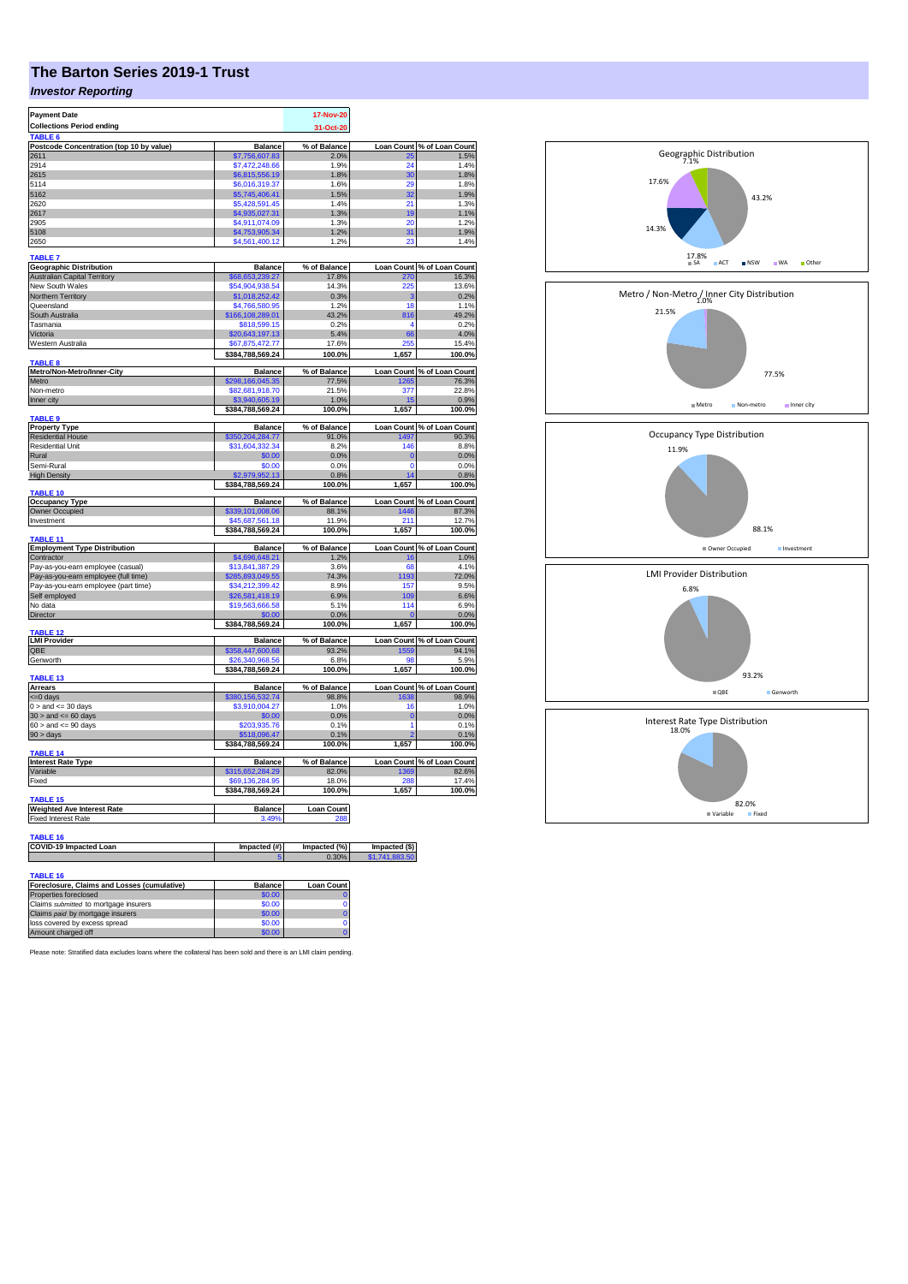## **The Barton Series 2019-1 Trust**

## *Investor Reporting*

| <b>Payment Date</b>                                                  | 17-Nov-20                           |                          |                                 |                                     |
|----------------------------------------------------------------------|-------------------------------------|--------------------------|---------------------------------|-------------------------------------|
| <b>Collections Period ending</b>                                     | 31-Oct-20                           |                          |                                 |                                     |
| TABLE <sub>6</sub>                                                   |                                     |                          |                                 |                                     |
| Postcode Concentration (top 10 by value)                             | <b>Balance</b>                      | % of Balance             | <b>Loan Count</b>               | % of Loan Count                     |
| 2611<br>2914                                                         | \$7,756,607.83<br>\$7,472,248.66    | 2.0%<br>1.9%             | 25<br>24                        | 1.5%<br>1.4%                        |
| 2615                                                                 | \$6,815,556.19                      | 1.8%                     | 30                              | 1.8%                                |
| 5114                                                                 | \$6,016,319.37                      | 1.6%                     | 29                              | 1.8%                                |
| 5162                                                                 | \$5,745,406.41                      | 1.5%                     | 32                              | 1.9%                                |
| 2620                                                                 | \$5,428,591.45                      | 1.4%                     | 21                              | 1.3%                                |
| 2617<br>2905                                                         | \$4,935,027.31<br>\$4,911,074.09    | 1.3%<br>1.3%             | 19<br>20                        | 1.1%<br>1.2%                        |
| 5108                                                                 | \$4,753,905.34                      | 1.2%                     | 31                              | 1.9%                                |
| 2650                                                                 | \$4,561,400.12                      | 1.2%                     | 23                              | 1.4%                                |
| <b>TABLE 7</b>                                                       |                                     |                          |                                 |                                     |
| <b>Geographic Distribution</b>                                       | <b>Balance</b>                      | % of Balance             |                                 | Loan Count % of Loan Count          |
| <b>Australian Capital Territory</b>                                  | \$68,653,239.27                     | 17.8%                    | 270                             | 16.3%                               |
| New South Wales                                                      | \$54,904,938.54                     | 14.3%                    | 225                             | 13.6%                               |
| Northern Territory<br>Queensland                                     | \$1,018,252.42<br>\$4,766,580.95    | 0.3%<br>1.2%             | з<br>18                         | 0.2%<br>1.1%                        |
| South Australia                                                      | \$166.108.289.01                    | 43.2%                    | 816                             | 49.2%                               |
| Tasmania                                                             | \$818,599.15                        | 0.2%                     | 4                               | 0.2%                                |
| Victoria                                                             | \$20,643,197.13                     | 5.4%                     | 66                              | 4.0%                                |
| Western Australia                                                    | \$67,875,472.77                     | 17.6%                    | 255                             | 15.4%                               |
| <b>TABLE 8</b>                                                       | \$384,788,569.24                    | 100.0%                   | 1,657                           | 100.0%                              |
| Metro/Non-Metro/Inner-City                                           | <b>Balance</b>                      | % of Balance             |                                 | Loan Count % of Loan Count          |
| Metro                                                                | \$298,166,045.35                    | 77.5%                    | 1265                            | 76.3%                               |
| Non-metro                                                            | \$82,681,918.70                     | 21.5%                    | 377                             | 22.8%                               |
| Inner city                                                           | \$3,940,605.19<br>\$384,788,569.24  | 1.0%<br>100.0%           | 15<br>1,657                     | 0.9%<br>100.0%                      |
| <b>TABLE 9</b>                                                       |                                     |                          |                                 |                                     |
| <b>Property Type</b>                                                 | <b>Balance</b>                      | % of Balance             |                                 | Loan Count % of Loan Count          |
| <b>Residential House</b><br><b>Residential Unit</b>                  | \$350,204,284.77<br>\$31,604,332.34 | 91.0%<br>8.2%            | 1497<br>146                     | 90.3%<br>8.8%                       |
| Rural                                                                | \$0.00                              | 0.0%                     | $\bf{0}$                        | 0.0%                                |
| Semi-Rural                                                           | \$0.00                              | 0.0%                     | 0                               | 0.0%                                |
| <b>High Density</b>                                                  | \$2,979,952.13                      | 0.8%                     | 14                              | 0.8%                                |
| TABLE 10                                                             | \$384,788,569.24                    | 100.0%                   | 1,657                           | 100.0%                              |
| <b>Occupancy Type</b>                                                | <b>Balance</b>                      | % of Balance             |                                 | Loan Count % of Loan Count          |
| Owner Occupied                                                       | \$339,101,008.06                    | 88.1%                    | 446                             | 87.3%                               |
| Investment                                                           | \$45,687,561.18                     | 11.9%                    | 211                             | 12.7%                               |
| TABLE 11                                                             | \$384,788,569.24                    | 100.0%                   | 1,657                           | 100.0%                              |
| <b>Employment Type Distribution</b>                                  | <b>Balance</b>                      | % of Balance             | <b>Loan Count</b>               | % of Loan Count                     |
| Contractor                                                           | \$4,696,648.21                      | 1.2%                     | 16                              | 1.0%                                |
| Pay-as-you-earn employee (casual)                                    | \$13,841,387.29                     | 3.6%                     | 68                              | 4.1%                                |
| Pay-as-you-earn employee (full time)                                 | \$285,893,049.55<br>\$34,212,399.42 | 74.3%<br>8.9%            | 1193                            | 72.0%<br>9.5%                       |
| Pay-as-you-earn employee (part time)<br>Self employed                | \$26,581,418.19                     | 6.9%                     | 157<br>109                      | 6.6%                                |
| No data                                                              | \$19,563,666.58                     | 5.1%                     | 114                             | 6.9%                                |
| <b>Director</b>                                                      | \$0.00                              | 0.0%                     | $\mathbf 0$                     | 0.0%                                |
|                                                                      | \$384,788,569.24                    | 100.0%                   | 1,657                           | 100.0%                              |
| <b>TABLE 12</b><br><b>LMI Provider</b>                               | <b>Balance</b>                      | % of Balance             |                                 | Loan Count % of Loan Count          |
| QBE                                                                  | \$358,447,600.68                    | 93.2%                    | 1559                            | 94.1%                               |
| Genworth                                                             | \$26,340,968.56                     | 6.8%                     | 98                              | 5.9%                                |
| <b>TABLE 13</b>                                                      | \$384,788,569.24                    | 100.0%                   | 1,657                           | 100.0%                              |
| Arrears                                                              | <b>Balance</b>                      | % of Balance             |                                 | Loan Count % of Loan Count          |
| <= 0 days                                                            | \$380,156,532.74                    | 98.8%                    | 1638                            | 98.9%                               |
| $0 >$ and $\leq$ 30 days                                             | \$3,910,004.27                      | 1.0%                     | 16                              | 1.0%                                |
| $30 >$ and $\leq 60$ days                                            | \$0.00                              | 0.0%                     | $\bf{0}$<br>1                   | 0.0%                                |
| $60 >$ and $\leq 90$ days<br>$90 > \text{days}$                      | \$203,935.76<br>\$518,096.47        | 0.1%<br>0.1%             | 2                               | 0.1%<br>0.1%                        |
|                                                                      | \$384,788,569.24                    | 100.0%                   | 1,657                           | 100.0%                              |
| TABLE 14                                                             |                                     |                          |                                 |                                     |
| <b>Interest Rate Type</b><br>Variable                                | <b>Balance</b><br>\$315,652,284.29  | % of Balance<br>82.0%    | 1369                            | Loan Count % of Loan Count<br>82.6% |
| Fixed                                                                | \$69,136,284.95                     | 18.0%                    | 288                             | 17.4%                               |
|                                                                      |                                     |                          |                                 |                                     |
| <b>TABLE 15</b>                                                      |                                     |                          |                                 |                                     |
| <b>Weighted Ave Interest Rate</b><br><b>Fixed Interest Rate</b>      | <b>Balance</b><br>3.49%             | <b>Loan Count</b><br>288 |                                 |                                     |
|                                                                      |                                     |                          |                                 |                                     |
| <b>TABLE 16</b>                                                      |                                     |                          |                                 |                                     |
| COVID-19 Impacted Loan                                               | Impacted (#)                        | Impacted (%)<br>0.30%    | Impacted (\$)<br>\$1,741,883,50 |                                     |
|                                                                      |                                     |                          |                                 |                                     |
| <b>TABLE 16</b>                                                      |                                     |                          |                                 |                                     |
| Foreclosure, Claims and Losses (cumulative)<br>Properties foreclosed | <b>Balance</b>                      | <b>Loan Count</b>        |                                 |                                     |
| Claims submitted to mortgage insurers                                | \$0.00<br>\$0.00                    | $\Omega$                 |                                 |                                     |
| Claims paid by mortgage insurers                                     | \$0.00                              | $\bf{0}$                 |                                 |                                     |
| loss covered by excess spread                                        | \$0.00                              | 0                        |                                 |                                     |
| Amount charged off                                                   | \$0.00                              |                          |                                 |                                     |



17.8%

7.1% Geographic Distribution

14.3%

17.6%

43.2%

■ ACT ■ NSW ■ WA ■ Other

Please note: Stratified data excludes loans where the collateral has been sold and there is an LMI claim pending.